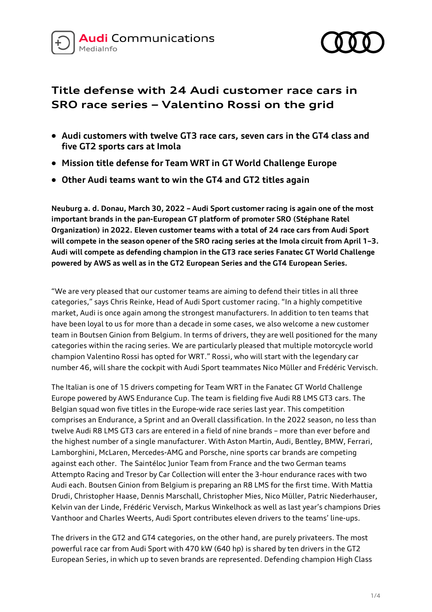



# **Title defense with 24 Audi customer race cars in SRO race series – Valentino Rossi on the grid**

- **Audi customers with twelve GT3 race cars, seven cars in the GT4 class and five GT2 sports cars at Imola**
- **Mission title defense for Team WRT in GT World Challenge Europe**
- **Other Audi teams want to win the GT4 and GT2 titles again**

**Neuburg a. d. Donau, March 30, 2022 – Audi Sport customer racing is again one of the most important brands in the pan-European GT platform of promoter SRO (Stéphane Ratel Organization) in 2022. Eleven customer teams with a total of 24 race cars from Audi Sport will compete in the season opener of the SRO racing series at the Imola circuit from April 1–3. Audi will compete as defending champion in the GT3 race series Fanatec GT World Challenge powered by AWS as well as in the GT2 European Series and the GT4 European Series.** 

"We are very pleased that our customer teams are aiming to defend their titles in all three categories," says Chris Reinke, Head of Audi Sport customer racing. "In a highly competitive market, Audi is once again among the strongest manufacturers. In addition to ten teams that have been loyal to us for more than a decade in some cases, we also welcome a new customer team in Boutsen Ginion from Belgium. In terms of drivers, they are well positioned for the many categories within the racing series. We are particularly pleased that multiple motorcycle world champion Valentino Rossi has opted for WRT." Rossi, who will start with the legendary car number 46, will share the cockpit with Audi Sport teammates Nico Müller and Frédéric Vervisch.

The Italian is one of 15 drivers competing for Team WRT in the Fanatec GT World Challenge Europe powered by AWS Endurance Cup. The team is fielding five Audi R8 LMS GT3 cars. The Belgian squad won five titles in the Europe-wide race series last year. This competition comprises an Endurance, a Sprint and an Overall classification. In the 2022 season, no less than twelve Audi R8 LMS GT3 cars are entered in a field of nine brands – more than ever before and the highest number of a single manufacturer. With Aston Martin, Audi, Bentley, BMW, Ferrari, Lamborghini, McLaren, Mercedes-AMG and Porsche, nine sports car brands are competing against each other. The Saintéloc Junior Team from France and the two German teams Attempto Racing and Tresor by Car Collection will enter the 3-hour endurance races with two Audi each. Boutsen Ginion from Belgium is preparing an R8 LMS for the first time. With Mattia Drudi, Christopher Haase, Dennis Marschall, Christopher Mies, Nico Müller, Patric Niederhauser, Kelvin van der Linde, Frédéric Vervisch, Markus Winkelhock as well as last year's champions Dries Vanthoor and Charles Weerts, Audi Sport contributes eleven drivers to the teams' line-ups.

The drivers in the GT2 and GT4 categories, on the other hand, are purely privateers. The most powerful race car from Audi Sport with 470 kW (640 hp) is shared by ten drivers in the GT2 European Series, in which up to seven brands are represented. Defending champion High Class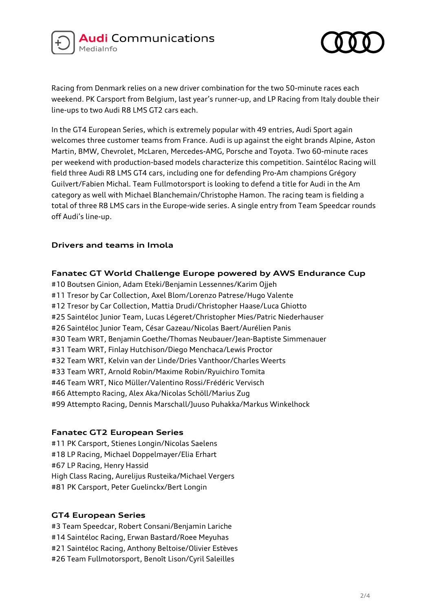



Racing from Denmark relies on a new driver combination for the two 50-minute races each weekend. PK Carsport from Belgium, last year's runner-up, and LP Racing from Italy double their line-ups to two Audi R8 LMS GT2 cars each.

In the GT4 European Series, which is extremely popular with 49 entries, Audi Sport again welcomes three customer teams from France. Audi is up against the eight brands Alpine, Aston Martin, BMW, Chevrolet, McLaren, Mercedes-AMG, Porsche and Toyota. Two 60-minute races per weekend with production-based models characterize this competition. Saintéloc Racing will field three Audi R8 LMS GT4 cars, including one for defending Pro-Am champions Grégory Guilvert/Fabien Michal. Team Fullmotorsport is looking to defend a title for Audi in the Am category as well with Michael Blanchemain/Christophe Hamon. The racing team is fielding a total of three R8 LMS cars in the Europe-wide series. A single entry from Team Speedcar rounds off Audi's line-up.

# **Drivers and teams in Imola**

### **Fanatec GT World Challenge Europe powered by AWS Endurance Cup**

#10 Boutsen Ginion, Adam Eteki/Benjamin Lessennes/Karim Ojjeh #11 Tresor by Car Collection, Axel Blom/Lorenzo Patrese/Hugo Valente #12 Tresor by Car Collection, Mattia Drudi/Christopher Haase/Luca Ghiotto #25 Saintéloc Junior Team, Lucas Légeret/Christopher Mies/Patric Niederhauser #26 Saintéloc Junior Team, César Gazeau/Nicolas Baert/Aurélien Panis #30 Team WRT, Benjamin Goethe/Thomas Neubauer/Jean-Baptiste Simmenauer #31 Team WRT, Finlay Hutchison/Diego Menchaca/Lewis Proctor #32 Team WRT, Kelvin van der Linde/Dries Vanthoor/Charles Weerts #33 Team WRT, Arnold Robin/Maxime Robin/Ryuichiro Tomita #46 Team WRT, Nico Müller/Valentino Rossi/Frédéric Vervisch #66 Attempto Racing, Alex Aka/Nicolas Schöll/Marius Zug #99 Attempto Racing, Dennis Marschall/Juuso Puhakka/Markus Winkelhock

# **Fanatec GT2 European Series**

#11 PK Carsport, Stienes Longin/Nicolas Saelens #18 LP Racing, Michael Doppelmayer/Elia Erhart #67 LP Racing, Henry Hassid High Class Racing, Aurelijus Rusteika/Michael Vergers #81 PK Carsport, Peter Guelinckx/Bert Longin

# **GT4 European Series**

#3 Team Speedcar, Robert Consani/Benjamin Lariche #14 Saintéloc Racing, Erwan Bastard/Roee Meyuhas #21 Saintéloc Racing, Anthony Beltoise/Olivier Estèves #26 Team Fullmotorsport, Benoît Lison/Cyril Saleilles